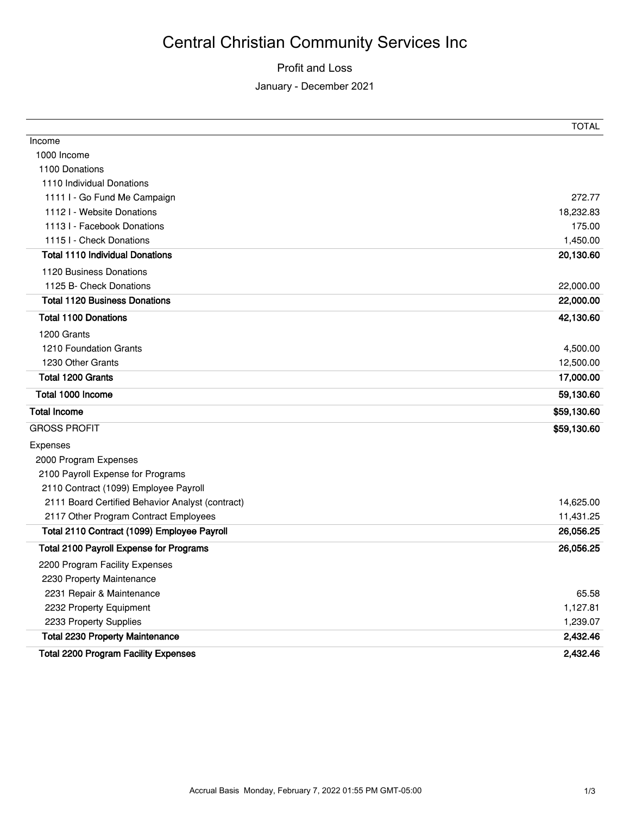# Central Christian Community Services Inc

### Profit and Loss

January - December 2021

|                                                  | TOTAL       |
|--------------------------------------------------|-------------|
| Income                                           |             |
| 1000 Income                                      |             |
| 1100 Donations                                   |             |
| 1110 Individual Donations                        |             |
| 1111 I - Go Fund Me Campaign                     | 272.77      |
| 1112 - Website Donations                         | 18,232.83   |
| 1113 I - Facebook Donations                      | 175.00      |
| 1115 I - Check Donations                         | 1,450.00    |
| <b>Total 1110 Individual Donations</b>           | 20,130.60   |
| 1120 Business Donations                          |             |
| 1125 B- Check Donations                          | 22,000.00   |
| <b>Total 1120 Business Donations</b>             | 22,000.00   |
| <b>Total 1100 Donations</b>                      | 42,130.60   |
| 1200 Grants                                      |             |
| 1210 Foundation Grants                           | 4,500.00    |
| 1230 Other Grants                                | 12,500.00   |
| Total 1200 Grants                                | 17,000.00   |
| Total 1000 Income                                | 59,130.60   |
| <b>Total Income</b>                              | \$59,130.60 |
| <b>GROSS PROFIT</b>                              | \$59,130.60 |
| Expenses                                         |             |
| 2000 Program Expenses                            |             |
| 2100 Payroll Expense for Programs                |             |
| 2110 Contract (1099) Employee Payroll            |             |
| 2111 Board Certified Behavior Analyst (contract) | 14,625.00   |
| 2117 Other Program Contract Employees            | 11,431.25   |
| Total 2110 Contract (1099) Employee Payroll      | 26,056.25   |
| <b>Total 2100 Payroll Expense for Programs</b>   | 26,056.25   |
| 2200 Program Facility Expenses                   |             |
| 2230 Property Maintenance                        |             |
| 2231 Repair & Maintenance                        | 65.58       |
| 2232 Property Equipment                          | 1,127.81    |
| 2233 Property Supplies                           | 1,239.07    |
| <b>Total 2230 Property Maintenance</b>           | 2,432.46    |
| <b>Total 2200 Program Facility Expenses</b>      | 2.432.46    |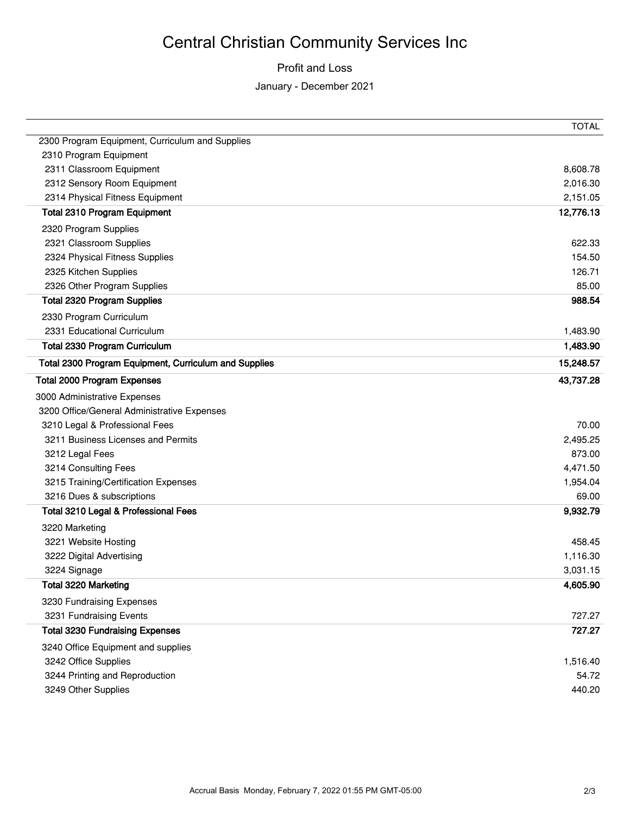# Central Christian Community Services Inc

## Profit and Loss

January - December 2021

|                                                       | <b>TOTAL</b>    |
|-------------------------------------------------------|-----------------|
| 2300 Program Equipment, Curriculum and Supplies       |                 |
| 2310 Program Equipment                                |                 |
| 2311 Classroom Equipment                              | 8,608.78        |
| 2312 Sensory Room Equipment                           | 2,016.30        |
| 2314 Physical Fitness Equipment                       | 2,151.05        |
| <b>Total 2310 Program Equipment</b>                   | 12,776.13       |
| 2320 Program Supplies                                 |                 |
| 2321 Classroom Supplies                               | 622.33          |
| 2324 Physical Fitness Supplies                        | 154.50          |
| 2325 Kitchen Supplies                                 | 126.71          |
| 2326 Other Program Supplies                           | 85.00           |
| <b>Total 2320 Program Supplies</b>                    | 988.54          |
| 2330 Program Curriculum                               |                 |
| 2331 Educational Curriculum                           | 1,483.90        |
| Total 2330 Program Curriculum                         | 1,483.90        |
| Total 2300 Program Equipment, Curriculum and Supplies | 15,248.57       |
| <b>Total 2000 Program Expenses</b>                    | 43,737.28       |
| 3000 Administrative Expenses                          |                 |
| 3200 Office/General Administrative Expenses           |                 |
| 3210 Legal & Professional Fees                        | 70.00           |
| 3211 Business Licenses and Permits                    | 2,495.25        |
| 3212 Legal Fees                                       | 873.00          |
|                                                       |                 |
| 3214 Consulting Fees                                  | 4,471.50        |
| 3215 Training/Certification Expenses                  | 1,954.04        |
| 3216 Dues & subscriptions                             | 69.00           |
| Total 3210 Legal & Professional Fees                  | 9,932.79        |
| 3220 Marketing                                        |                 |
| 3221 Website Hosting                                  | 458.45          |
| 3222 Digital Advertising                              | 1,116.30        |
| 3224 Signage                                          | 3,031.15        |
| Total 3220 Marketing                                  | 4,605.90        |
| 3230 Fundraising Expenses                             |                 |
| 3231 Fundraising Events                               | 727.27          |
| <b>Total 3230 Fundraising Expenses</b>                | 727.27          |
| 3240 Office Equipment and supplies                    |                 |
| 3242 Office Supplies                                  | 1,516.40        |
| 3244 Printing and Reproduction<br>3249 Other Supplies | 54.72<br>440.20 |